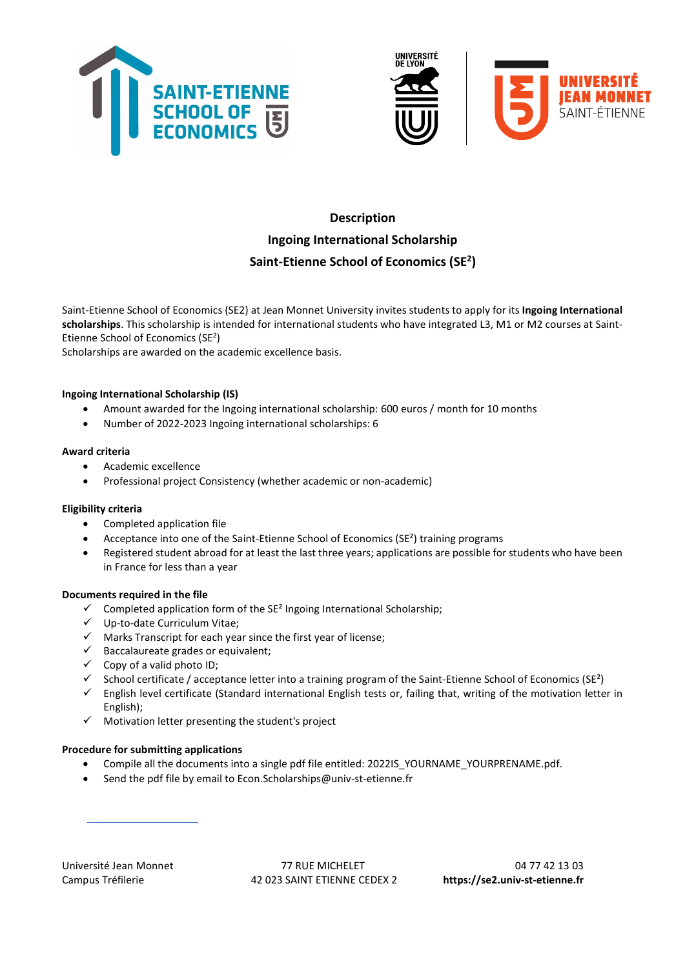





# Description Ingoing International Scholarship Saint-Etienne School of Economics (SE<sup>2</sup>)

Saint-Etienne School of Economics (SE2) at Jean Monnet University invites students to apply for its Ingoing International scholarships. This scholarship is intended for international students who have integrated L3, M1 or M2 courses at Saint-Etienne School of Economics (SE<sup>2</sup>)

Scholarships are awarded on the academic excellence basis.

# Ingoing International Scholarship (IS)

- Amount awarded for the Ingoing international scholarship: 600 euros / month for 10 months
- Number of 2022-2023 Ingoing international scholarships: 6

# Award criteria

- Academic excellence
- Professional project Consistency (whether academic or non-academic)

# Eligibility criteria

- Completed application file
- Acceptance into one of the Saint-Etienne School of Economics (SE²) training programs
- Registered student abroad for at least the last three years; applications are possible for students who have been in France for less than a year

# Documents required in the file

- $\checkmark$  Completed application form of the SE<sup>2</sup> Ingoing International Scholarship;
- Up-to-date Curriculum Vitae;
- $\checkmark$  Marks Transcript for each year since the first year of license;
- $\checkmark$  Baccalaureate grades or equivalent;
- $\checkmark$  Copy of a valid photo ID;
- $\checkmark$  School certificate / acceptance letter into a training program of the Saint-Etienne School of Economics (SE<sup>2</sup>)
- $\checkmark$  English level certificate (Standard international English tests or, failing that, writing of the motivation letter in English);
- $\checkmark$  Motivation letter presenting the student's project

# Procedure for submitting applications

- Compile all the documents into a single pdf file entitled: 2022IS\_YOURNAME\_YOURPRENAME.pdf.
- Send the pdf file by email to Econ.Scholarships@univ-st-etienne.fr

Université Jean Monnet 13 03 Campus Tréfilerie 42 023 SAINT ETIENNE CEDEX 2 https://se2.univ-st-etienne.fr